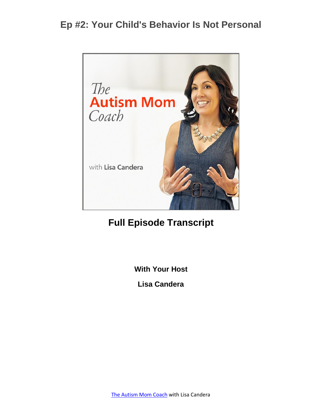

#### **Full Episode Transcript**

**With Your Host**

**Lisa Candera**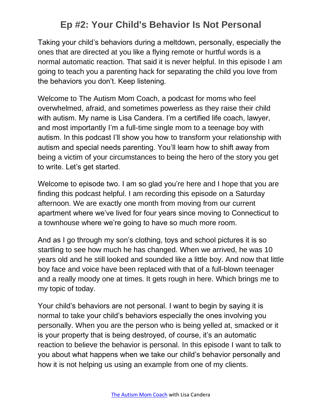Taking your child's behaviors during a meltdown, personally, especially the ones that are directed at you like a flying remote or hurtful words is a normal automatic reaction. That said it is never helpful. In this episode I am going to teach you a parenting hack for separating the child you love from the behaviors you don't. Keep listening.

Welcome to The Autism Mom Coach, a podcast for moms who feel overwhelmed, afraid, and sometimes powerless as they raise their child with autism. My name is Lisa Candera. I'm a certified life coach, lawyer, and most importantly I'm a full-time single mom to a teenage boy with autism. In this podcast I'll show you how to transform your relationship with autism and special needs parenting. You'll learn how to shift away from being a victim of your circumstances to being the hero of the story you get to write. Let's get started.

Welcome to episode two. I am so glad you're here and I hope that you are finding this podcast helpful. I am recording this episode on a Saturday afternoon. We are exactly one month from moving from our current apartment where we've lived for four years since moving to Connecticut to a townhouse where we're going to have so much more room.

And as I go through my son's clothing, toys and school pictures it is so startling to see how much he has changed. When we arrived, he was 10 years old and he still looked and sounded like a little boy. And now that little boy face and voice have been replaced with that of a full-blown teenager and a really moody one at times. It gets rough in here. Which brings me to my topic of today.

Your child's behaviors are not personal. I want to begin by saying it is normal to take your child's behaviors especially the ones involving you personally. When you are the person who is being yelled at, smacked or it is your property that is being destroyed, of course, it's an automatic reaction to believe the behavior is personal. In this episode I want to talk to you about what happens when we take our child's behavior personally and how it is not helping us using an example from one of my clients.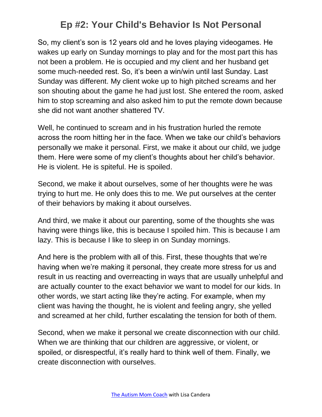So, my client's son is 12 years old and he loves playing videogames. He wakes up early on Sunday mornings to play and for the most part this has not been a problem. He is occupied and my client and her husband get some much-needed rest. So, it's been a win/win until last Sunday. Last Sunday was different. My client woke up to high pitched screams and her son shouting about the game he had just lost. She entered the room, asked him to stop screaming and also asked him to put the remote down because she did not want another shattered TV.

Well, he continued to scream and in his frustration hurled the remote across the room hitting her in the face. When we take our child's behaviors personally we make it personal. First, we make it about our child, we judge them. Here were some of my client's thoughts about her child's behavior. He is violent. He is spiteful. He is spoiled.

Second, we make it about ourselves, some of her thoughts were he was trying to hurt me. He only does this to me. We put ourselves at the center of their behaviors by making it about ourselves.

And third, we make it about our parenting, some of the thoughts she was having were things like, this is because I spoiled him. This is because I am lazy. This is because I like to sleep in on Sunday mornings.

And here is the problem with all of this. First, these thoughts that we're having when we're making it personal, they create more stress for us and result in us reacting and overreacting in ways that are usually unhelpful and are actually counter to the exact behavior we want to model for our kids. In other words, we start acting like they're acting. For example, when my client was having the thought, he is violent and feeling angry, she yelled and screamed at her child, further escalating the tension for both of them.

Second, when we make it personal we create disconnection with our child. When we are thinking that our children are aggressive, or violent, or spoiled, or disrespectful, it's really hard to think well of them. Finally, we create disconnection with ourselves.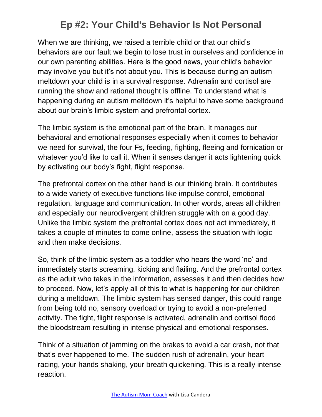When we are thinking, we raised a terrible child or that our child's behaviors are our fault we begin to lose trust in ourselves and confidence in our own parenting abilities. Here is the good news, your child's behavior may involve you but it's not about you. This is because during an autism meltdown your child is in a survival response. Adrenalin and cortisol are running the show and rational thought is offline. To understand what is happening during an autism meltdown it's helpful to have some background about our brain's limbic system and prefrontal cortex.

The limbic system is the emotional part of the brain. It manages our behavioral and emotional responses especially when it comes to behavior we need for survival, the four Fs, feeding, fighting, fleeing and fornication or whatever you'd like to call it. When it senses danger it acts lightening quick by activating our body's fight, flight response.

The prefrontal cortex on the other hand is our thinking brain. It contributes to a wide variety of executive functions like impulse control, emotional regulation, language and communication. In other words, areas all children and especially our neurodivergent children struggle with on a good day. Unlike the limbic system the prefrontal cortex does not act immediately, it takes a couple of minutes to come online, assess the situation with logic and then make decisions.

So, think of the limbic system as a toddler who hears the word 'no' and immediately starts screaming, kicking and flailing. And the prefrontal cortex as the adult who takes in the information, assesses it and then decides how to proceed. Now, let's apply all of this to what is happening for our children during a meltdown. The limbic system has sensed danger, this could range from being told no, sensory overload or trying to avoid a non-preferred activity. The fight, flight response is activated, adrenalin and cortisol flood the bloodstream resulting in intense physical and emotional responses.

Think of a situation of jamming on the brakes to avoid a car crash, not that that's ever happened to me. The sudden rush of adrenalin, your heart racing, your hands shaking, your breath quickening. This is a really intense reaction.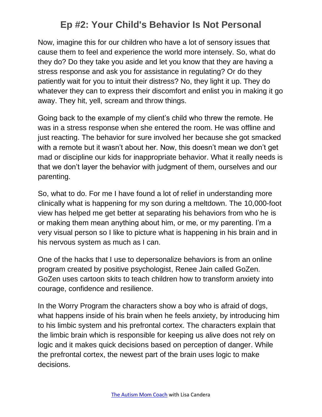Now, imagine this for our children who have a lot of sensory issues that cause them to feel and experience the world more intensely. So, what do they do? Do they take you aside and let you know that they are having a stress response and ask you for assistance in regulating? Or do they patiently wait for you to intuit their distress? No, they light it up. They do whatever they can to express their discomfort and enlist you in making it go away. They hit, yell, scream and throw things.

Going back to the example of my client's child who threw the remote. He was in a stress response when she entered the room. He was offline and just reacting. The behavior for sure involved her because she got smacked with a remote but it wasn't about her. Now, this doesn't mean we don't get mad or discipline our kids for inappropriate behavior. What it really needs is that we don't layer the behavior with judgment of them, ourselves and our parenting.

So, what to do. For me I have found a lot of relief in understanding more clinically what is happening for my son during a meltdown. The 10,000-foot view has helped me get better at separating his behaviors from who he is or making them mean anything about him, or me, or my parenting. I'm a very visual person so I like to picture what is happening in his brain and in his nervous system as much as I can.

One of the hacks that I use to depersonalize behaviors is from an online program created by positive psychologist, Renee Jain called GoZen. GoZen uses cartoon skits to teach children how to transform anxiety into courage, confidence and resilience.

In the Worry Program the characters show a boy who is afraid of dogs, what happens inside of his brain when he feels anxiety, by introducing him to his limbic system and his prefrontal cortex. The characters explain that the limbic brain which is responsible for keeping us alive does not rely on logic and it makes quick decisions based on perception of danger. While the prefrontal cortex, the newest part of the brain uses logic to make decisions.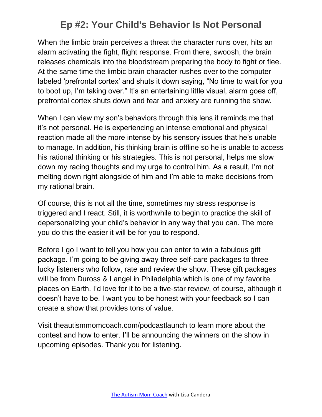When the limbic brain perceives a threat the character runs over, hits an alarm activating the fight, flight response. From there, swoosh, the brain releases chemicals into the bloodstream preparing the body to fight or flee. At the same time the limbic brain character rushes over to the computer labeled 'prefrontal cortex' and shuts it down saying, "No time to wait for you to boot up, I'm taking over." It's an entertaining little visual, alarm goes off, prefrontal cortex shuts down and fear and anxiety are running the show.

When I can view my son's behaviors through this lens it reminds me that it's not personal. He is experiencing an intense emotional and physical reaction made all the more intense by his sensory issues that he's unable to manage. In addition, his thinking brain is offline so he is unable to access his rational thinking or his strategies. This is not personal, helps me slow down my racing thoughts and my urge to control him. As a result, I'm not melting down right alongside of him and I'm able to make decisions from my rational brain.

Of course, this is not all the time, sometimes my stress response is triggered and I react. Still, it is worthwhile to begin to practice the skill of depersonalizing your child's behavior in any way that you can. The more you do this the easier it will be for you to respond.

Before I go I want to tell you how you can enter to win a fabulous gift package. I'm going to be giving away three self-care packages to three lucky listeners who follow, rate and review the show. These gift packages will be from Duross & Langel in Philadelphia which is one of my favorite places on Earth. I'd love for it to be a five-star review, of course, although it doesn't have to be. I want you to be honest with your feedback so I can create a show that provides tons of value.

Visit theautismmomcoach.com/podcastlaunch to learn more about the contest and how to enter. I'll be announcing the winners on the show in upcoming episodes. Thank you for listening.